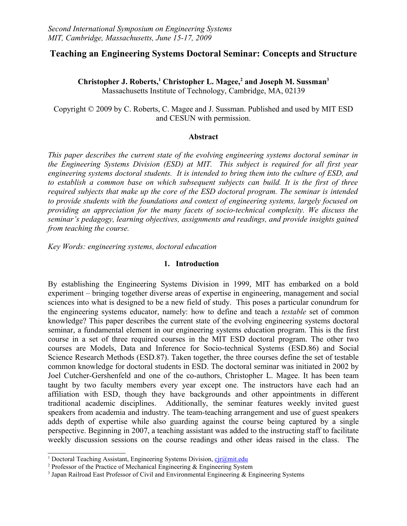## **Teaching an Engineering Systems Doctoral Seminar: Concepts and Structure**

**Christopher J. Roberts,[1](#page-0-0) Christopher L. Magee,[2](#page-0-1) and Joseph M. Sussman[3](#page-0-2)** Massachusetts Institute of Technology, Cambridge, MA, 02139

Copyright © 2009 by C. Roberts, C. Magee and J. Sussman. Published and used by MIT ESD and CESUN with permission.

#### **Abstract**

*This paper describes the current state of the evolving engineering systems doctoral seminar in the Engineering Systems Division (ESD) at MIT. This subject is required for all first year engineering systems doctoral students. It is intended to bring them into the culture of ESD, and to establish a common base on which subsequent subjects can build. It is the first of three required subjects that make up the core of the ESD doctoral program. The seminar is intended to provide students with the foundations and context of engineering systems, largely focused on providing an appreciation for the many facets of socio-technical complexity. We discuss the seminar's pedagogy, learning objectives, assignments and readings, and provide insights gained from teaching the course.* 

*Key Words: engineering systems, doctoral education*

#### **1. Introduction**

By establishing the Engineering Systems Division in 1999, MIT has embarked on a bold experiment – bringing together diverse areas of expertise in engineering, management and social sciences into what is designed to be a new field of study. This poses a particular conundrum for the engineering systems educator, namely: how to define and teach a *testable* set of common knowledge? This paper describes the current state of the evolving engineering systems doctoral seminar, a fundamental element in our engineering systems education program. This is the first course in a set of three required courses in the MIT ESD doctoral program. The other two courses are Models, Data and Inference for Socio-technical Systems (ESD.86) and Social Science Research Methods (ESD.87). Taken together, the three courses define the set of testable common knowledge for doctoral students in ESD. The doctoral seminar was initiated in 2002 by Joel Cutcher-Gershenfeld and one of the co-authors, Christopher L. Magee. It has been team taught by two faculty members every year except one. The instructors have each had an affiliation with ESD, though they have backgrounds and other appointments in different traditional academic disciplines. Additionally, the seminar features weekly invited guest speakers from academia and industry. The team-teaching arrangement and use of guest speakers adds depth of expertise while also guarding against the course being captured by a single perspective. Beginning in 2007, a teaching assistant was added to the instructing staff to facilitate weekly discussion sessions on the course readings and other ideas raised in the class. The

<span id="page-0-0"></span><sup>&</sup>lt;sup>1</sup> Doctoral Teaching Assistant, Engineering Systems Division, *cir@mit.edu* 

<span id="page-0-1"></span><sup>&</sup>lt;sup>2</sup> Professor of the Practice of Mechanical Engineering  $\&$  Engineering System

<span id="page-0-2"></span><sup>&</sup>lt;sup>3</sup> Japan Railroad East Professor of Civil and Environmental Engineering & Engineering Systems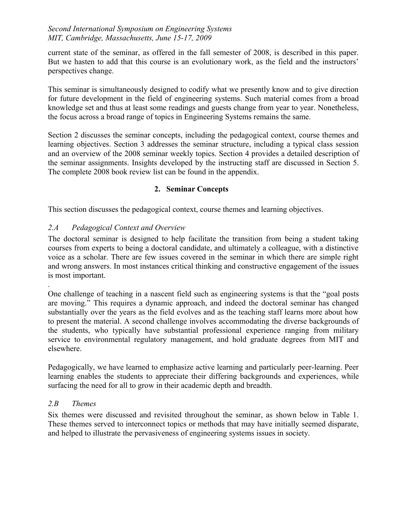current state of the seminar, as offered in the fall semester of 2008, is described in this paper. But we hasten to add that this course is an evolutionary work, as the field and the instructors' perspectives change.

This seminar is simultaneously designed to codify what we presently know and to give direction for future development in the field of engineering systems. Such material comes from a broad knowledge set and thus at least some readings and guests change from year to year. Nonetheless, the focus across a broad range of topics in Engineering Systems remains the same.

Section 2 discusses the seminar concepts, including the pedagogical context, course themes and learning objectives. Section 3 addresses the seminar structure, including a typical class session and an overview of the 2008 seminar weekly topics. Section 4 provides a detailed description of the seminar assignments. Insights developed by the instructing staff are discussed in Section 5. The complete 2008 book review list can be found in the appendix.

## **2. Seminar Concepts**

This section discusses the pedagogical context, course themes and learning objectives.

## *2.A Pedagogical Context and Overview*

The doctoral seminar is designed to help facilitate the transition from being a student taking courses from experts to being a doctoral candidate, and ultimately a colleague, with a distinctive voice as a scholar. There are few issues covered in the seminar in which there are simple right and wrong answers. In most instances critical thinking and constructive engagement of the issues is most important.

. One challenge of teaching in a nascent field such as engineering systems is that the "goal posts are moving." This requires a dynamic approach, and indeed the doctoral seminar has changed substantially over the years as the field evolves and as the teaching staff learns more about how to present the material. A second challenge involves accommodating the diverse backgrounds of the students, who typically have substantial professional experience ranging from military service to environmental regulatory management, and hold graduate degrees from MIT and elsewhere.

Pedagogically, we have learned to emphasize active learning and particularly peer-learning. Peer learning enables the students to appreciate their differing backgrounds and experiences, while surfacing the need for all to grow in their academic depth and breadth.

## *2.B Themes*

Six themes were discussed and revisited throughout the seminar, as shown below in Table 1. These themes served to interconnect topics or methods that may have initially seemed disparate, and helped to illustrate the pervasiveness of engineering systems issues in society.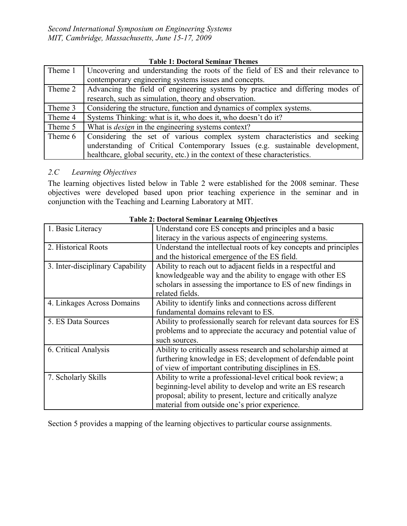|  | <b>Table 1: Doctoral Seminar Themes</b> |  |  |
|--|-----------------------------------------|--|--|
|--|-----------------------------------------|--|--|

| Theme 1 | Uncovering and understanding the roots of the field of ES and their relevance to |
|---------|----------------------------------------------------------------------------------|
|         | contemporary engineering systems issues and concepts.                            |
| Theme 2 | Advancing the field of engineering systems by practice and differing modes of    |
|         | research, such as simulation, theory and observation.                            |
| Theme 3 | Considering the structure, function and dynamics of complex systems.             |
| Theme 4 | Systems Thinking: what is it, who does it, who doesn't do it?                    |
| Theme 5 | What is <i>design</i> in the engineering systems context?                        |
| Theme 6 | Considering the set of various complex system characteristics and seeking        |
|         | understanding of Critical Contemporary Issues (e.g. sustainable development,     |
|         | healthcare, global security, etc.) in the context of these characteristics.      |

## *2.C Learning Objectives*

The learning objectives listed below in Table 2 were established for the 2008 seminar. These objectives were developed based upon prior teaching experience in the seminar and in conjunction with the Teaching and Learning Laboratory at MIT.

| 1. Basic Literacy                | Understand core ES concepts and principles and a basic            |
|----------------------------------|-------------------------------------------------------------------|
|                                  | literacy in the various aspects of engineering systems.           |
| 2. Historical Roots              | Understand the intellectual roots of key concepts and principles  |
|                                  | and the historical emergence of the ES field.                     |
| 3. Inter-disciplinary Capability | Ability to reach out to adjacent fields in a respectful and       |
|                                  | knowledgeable way and the ability to engage with other ES         |
|                                  | scholars in assessing the importance to ES of new findings in     |
|                                  | related fields.                                                   |
| 4. Linkages Across Domains       | Ability to identify links and connections across different        |
|                                  | fundamental domains relevant to ES.                               |
| 5. ES Data Sources               | Ability to professionally search for relevant data sources for ES |
|                                  | problems and to appreciate the accuracy and potential value of    |
|                                  | such sources.                                                     |
| 6. Critical Analysis             | Ability to critically assess research and scholarship aimed at    |
|                                  | furthering knowledge in ES; development of defendable point       |
|                                  | of view of important contributing disciplines in ES.              |
| 7. Scholarly Skills              | Ability to write a professional-level critical book review; a     |
|                                  | beginning-level ability to develop and write an ES research       |
|                                  | proposal; ability to present, lecture and critically analyze      |
|                                  | material from outside one's prior experience.                     |

**Table 2: Doctoral Seminar Learning Objectives**

Section 5 provides a mapping of the learning objectives to particular course assignments.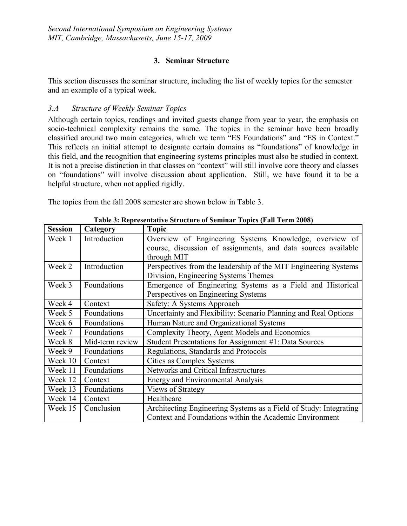## **3. Seminar Structure**

This section discusses the seminar structure, including the list of weekly topics for the semester and an example of a typical week.

### *3.A Structure of Weekly Seminar Topics*

Although certain topics, readings and invited guests change from year to year, the emphasis on socio-technical complexity remains the same. The topics in the seminar have been broadly classified around two main categories, which we term "ES Foundations" and "ES in Context." This reflects an initial attempt to designate certain domains as "foundations" of knowledge in this field, and the recognition that engineering systems principles must also be studied in context. It is not a precise distinction in that classes on "context" will still involve core theory and classes on "foundations" will involve discussion about application. Still, we have found it to be a helpful structure, when not applied rigidly.

The topics from the fall 2008 semester are shown below in Table 3.

| <b>Session</b> | Category        | <b>Topic</b>                                                      |
|----------------|-----------------|-------------------------------------------------------------------|
| Week 1         | Introduction    | Overview of Engineering Systems Knowledge, overview of            |
|                |                 | course, discussion of assignments, and data sources available     |
|                |                 | through MIT                                                       |
| Week 2         | Introduction    | Perspectives from the leadership of the MIT Engineering Systems   |
|                |                 | Division, Engineering Systems Themes                              |
| Week 3         | Foundations     | Emergence of Engineering Systems as a Field and Historical        |
|                |                 | Perspectives on Engineering Systems                               |
| Week 4         | Context         | Safety: A Systems Approach                                        |
| Week 5         | Foundations     | Uncertainty and Flexibility: Scenario Planning and Real Options   |
| Week 6         | Foundations     | Human Nature and Organizational Systems                           |
| Week 7         | Foundations     | Complexity Theory, Agent Models and Economics                     |
| Week 8         | Mid-term review | Student Presentations for Assignment #1: Data Sources             |
| Week 9         | Foundations     | Regulations, Standards and Protocols                              |
| Week 10        | Context         | Cities as Complex Systems                                         |
| Week 11        | Foundations     | Networks and Critical Infrastructures                             |
| Week 12        | Context         | <b>Energy and Environmental Analysis</b>                          |
| Week 13        | Foundations     | Views of Strategy                                                 |
| Week 14        | Context         | Healthcare                                                        |
| Week 15        | Conclusion      | Architecting Engineering Systems as a Field of Study: Integrating |
|                |                 | Context and Foundations within the Academic Environment           |

**Table 3: Representative Structure of Seminar Topics (Fall Term 2008)**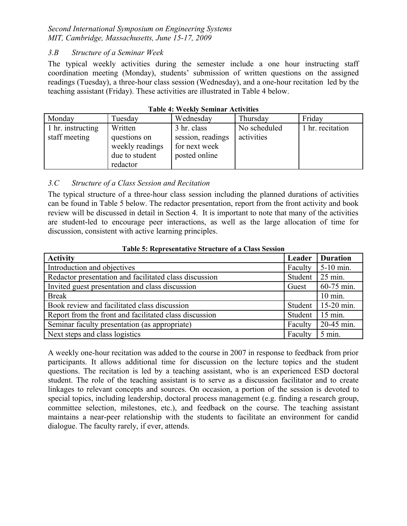## *3.B Structure of a Seminar Week*

The typical weekly activities during the semester include a one hour instructing staff coordination meeting (Monday), students' submission of written questions on the assigned readings (Tuesday), a three-hour class session (Wednesday), and a one-hour recitation led by the teaching assistant (Friday). These activities are illustrated in Table 4 below.

| Monday            | Tuesday                                                       | Wednesday                                           | Thursday     | Friday           |
|-------------------|---------------------------------------------------------------|-----------------------------------------------------|--------------|------------------|
| 1 hr. instructing | Written                                                       | 3 hr. class                                         | No scheduled | 1 hr. recitation |
| staff meeting     | questions on<br>weekly readings<br>due to student<br>redactor | session, readings<br>for next week<br>posted online | activities   |                  |

|  |  |  | <b>Table 4: Weekly Seminar Activities</b> |
|--|--|--|-------------------------------------------|
|--|--|--|-------------------------------------------|

### *3.C Structure of a Class Session and Recitation*

The typical structure of a three-hour class session including the planned durations of activities can be found in Table 5 below. The redactor presentation, report from the front activity and book review will be discussed in detail in Section 4. It is important to note that many of the activities are student-led to encourage peer interactions, as well as the large allocation of time for discussion, consistent with active learning principles.

| <b>Activity</b>                                        | Leader  | <b>Duration</b>    |
|--------------------------------------------------------|---------|--------------------|
| Introduction and objectives                            | Faculty | 5-10 min.          |
| Redactor presentation and facilitated class discussion | Student | $25 \text{ min}$ . |
| Invited guest presentation and class discussion        | Guest   | 60-75 min.         |
| <b>Break</b>                                           |         | $10 \text{ min}$ . |
| Book review and facilitated class discussion           | Student | 15-20 min.         |
| Report from the front and facilitated class discussion | Student | $15$ min.          |
| Seminar faculty presentation (as appropriate)          | Faculty | 20-45 min.         |
| Next steps and class logistics                         | Faculty | $5$ min.           |

#### **Table 5: Representative Structure of a Class Session**

A weekly one-hour recitation was added to the course in 2007 in response to feedback from prior participants. It allows additional time for discussion on the lecture topics and the student questions. The recitation is led by a teaching assistant, who is an experienced ESD doctoral student. The role of the teaching assistant is to serve as a discussion facilitator and to create linkages to relevant concepts and sources. On occasion, a portion of the session is devoted to special topics, including leadership, doctoral process management (e.g. finding a research group, committee selection, milestones, etc.), and feedback on the course. The teaching assistant maintains a near-peer relationship with the students to facilitate an environment for candid dialogue. The faculty rarely, if ever, attends.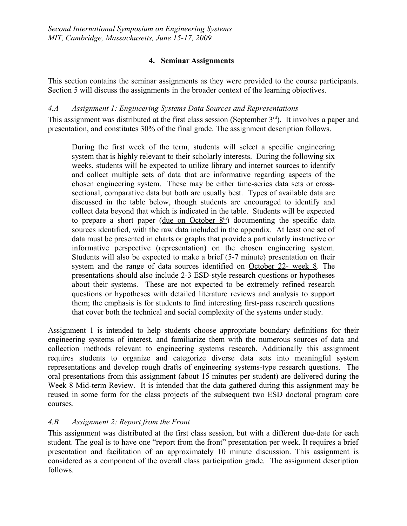## **4. Seminar Assignments**

This section contains the seminar assignments as they were provided to the course participants. Section 5 will discuss the assignments in the broader context of the learning objectives.

*4.A Assignment 1: Engineering Systems Data Sources and Representations*

This assignment was distributed at the first class session (September  $3<sup>rd</sup>$ ). It involves a paper and presentation, and constitutes 30% of the final grade. The assignment description follows.

During the first week of the term, students will select a specific engineering system that is highly relevant to their scholarly interests. During the following six weeks, students will be expected to utilize library and internet sources to identify and collect multiple sets of data that are informative regarding aspects of the chosen engineering system. These may be either time-series data sets or crosssectional, comparative data but both are usually best. Types of available data are discussed in the table below, though students are encouraged to identify and collect data beyond that which is indicated in the table. Students will be expected to prepare a short paper  $(due on October 8<sup>th</sup>)$  documenting the specific data sources identified, with the raw data included in the appendix. At least one set of data must be presented in charts or graphs that provide a particularly instructive or informative perspective (representation) on the chosen engineering system. Students will also be expected to make a brief (5-7 minute) presentation on their system and the range of data sources identified on October 22- week 8. The presentations should also include 2-3 ESD-style research questions or hypotheses about their systems. These are not expected to be extremely refined research questions or hypotheses with detailed literature reviews and analysis to support them; the emphasis is for students to find interesting first-pass research questions that cover both the technical and social complexity of the systems under study.

Assignment 1 is intended to help students choose appropriate boundary definitions for their engineering systems of interest, and familiarize them with the numerous sources of data and collection methods relevant to engineering systems research. Additionally this assignment requires students to organize and categorize diverse data sets into meaningful system representations and develop rough drafts of engineering systems-type research questions. The oral presentations from this assignment (about 15 minutes per student) are delivered during the Week 8 Mid-term Review. It is intended that the data gathered during this assignment may be reused in some form for the class projects of the subsequent two ESD doctoral program core courses.

# *4.B Assignment 2: Report from the Front*

This assignment was distributed at the first class session, but with a different due-date for each student. The goal is to have one "report from the front" presentation per week. It requires a brief presentation and facilitation of an approximately 10 minute discussion. This assignment is considered as a component of the overall class participation grade. The assignment description follows.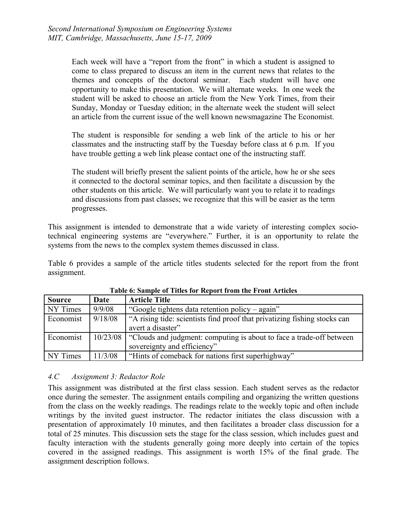Each week will have a "report from the front" in which a student is assigned to come to class prepared to discuss an item in the current news that relates to the themes and concepts of the doctoral seminar. Each student will have one opportunity to make this presentation. We will alternate weeks. In one week the student will be asked to choose an article from the New York Times, from their Sunday, Monday or Tuesday edition; in the alternate week the student will select an article from the current issue of the well known newsmagazine The Economist.

The student is responsible for sending a web link of the article to his or her classmates and the instructing staff by the Tuesday before class at 6 p.m. If you have trouble getting a web link please contact one of the instructing staff.

The student will briefly present the salient points of the article, how he or she sees it connected to the doctoral seminar topics, and then facilitate a discussion by the other students on this article. We will particularly want you to relate it to readings and discussions from past classes; we recognize that this will be easier as the term progresses.

This assignment is intended to demonstrate that a wide variety of interesting complex sociotechnical engineering systems are "everywhere." Further, it is an opportunity to relate the systems from the news to the complex system themes discussed in class.

Table 6 provides a sample of the article titles students selected for the report from the front assignment.

| <b>Source</b> | Date     | <b>Article Title</b>                                                      |
|---------------|----------|---------------------------------------------------------------------------|
| NY Times      | 9/9/08   | "Google tightens data retention policy – again"                           |
| Economist     | 9/18/08  | "A rising tide: scientists find proof that privatizing fishing stocks can |
|               |          | avert a disaster"                                                         |
| Economist     | 10/23/08 | "Clouds and judgment: computing is about to face a trade-off between      |
|               |          | sovereignty and efficiency"                                               |
| NY Times      | 11/3/08  | "Hints of comeback for nations first superhighway"                        |

**Table 6: Sample of Titles for Report from the Front Articles**

#### *4.C Assignment 3: Redactor Role*

This assignment was distributed at the first class session. Each student serves as the redactor once during the semester. The assignment entails compiling and organizing the written questions from the class on the weekly readings. The readings relate to the weekly topic and often include writings by the invited guest instructor. The redactor initiates the class discussion with a presentation of approximately 10 minutes, and then facilitates a broader class discussion for a total of 25 minutes. This discussion sets the stage for the class session, which includes guest and faculty interaction with the students generally going more deeply into certain of the topics covered in the assigned readings. This assignment is worth 15% of the final grade. The assignment description follows.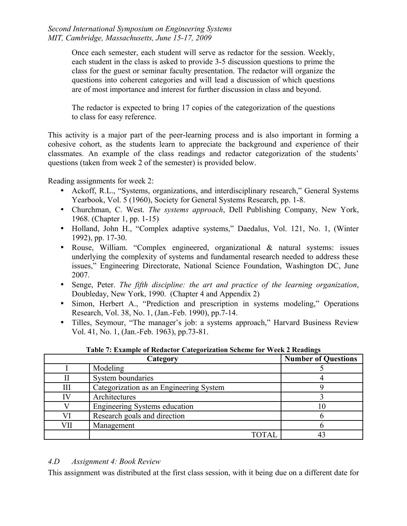Once each semester, each student will serve as redactor for the session. Weekly, each student in the class is asked to provide 3-5 discussion questions to prime the class for the guest or seminar faculty presentation. The redactor will organize the questions into coherent categories and will lead a discussion of which questions are of most importance and interest for further discussion in class and beyond.

The redactor is expected to bring 17 copies of the categorization of the questions to class for easy reference.

This activity is a major part of the peer-learning process and is also important in forming a cohesive cohort, as the students learn to appreciate the background and experience of their classmates. An example of the class readings and redactor categorization of the students' questions (taken from week 2 of the semester) is provided below.

Reading assignments for week 2:

- Ackoff, R.L., "Systems, organizations, and interdisciplinary research," General Systems Yearbook, Vol. 5 (1960), Society for General Systems Research, pp. 1-8.
- Churchman, C. West. *The systems approach*, Dell Publishing Company, New York, 1968. (Chapter 1, pp. 1-15)
- Holland, John H., "Complex adaptive systems," Daedalus, Vol. 121, No. 1, (Winter 1992), pp. 17-30.
- Rouse, William. "Complex engineered, organizational & natural systems: issues underlying the complexity of systems and fundamental research needed to address these issues," Engineering Directorate, National Science Foundation, Washington DC, June 2007.
- Senge, Peter. *The fifth discipline: the art and practice of the learning organization*, Doubleday, New York, 1990. (Chapter 4 and Appendix 2)
- Simon, Herbert A., "Prediction and prescription in systems modeling," Operations Research, Vol. 38, No. 1, (Jan.-Feb. 1990), pp.7-14.
- Tilles, Seymour, "The manager's job: a systems approach," Harvard Business Review Vol. 41, No. 1, (Jan.-Feb. 1963), pp.73-81.

|     | Category                                | <b>Number of Questions</b> |
|-----|-----------------------------------------|----------------------------|
|     | Modeling                                |                            |
|     | System boundaries                       |                            |
| Ш   | Categorization as an Engineering System |                            |
|     | Architectures                           |                            |
|     | Engineering Systems education           |                            |
|     | Research goals and direction            |                            |
| VII | Management                              |                            |
|     | TOTAL                                   |                            |

**Table 7: Example of Redactor Categorization Scheme for Week 2 Readings**

#### *4.D Assignment 4: Book Review*

This assignment was distributed at the first class session, with it being due on a different date for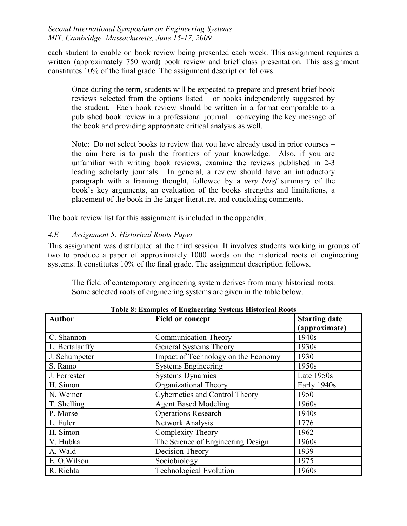each student to enable on book review being presented each week. This assignment requires a written (approximately 750 word) book review and brief class presentation. This assignment constitutes 10% of the final grade. The assignment description follows.

Once during the term, students will be expected to prepare and present brief book reviews selected from the options listed – or books independently suggested by the student. Each book review should be written in a format comparable to a published book review in a professional journal – conveying the key message of the book and providing appropriate critical analysis as well.

Note: Do not select books to review that you have already used in prior courses – the aim here is to push the frontiers of your knowledge. Also, if you are unfamiliar with writing book reviews, examine the reviews published in 2-3 leading scholarly journals. In general, a review should have an introductory paragraph with a framing thought, followed by a *very brief* summary of the book's key arguments, an evaluation of the books strengths and limitations, a placement of the book in the larger literature, and concluding comments.

The book review list for this assignment is included in the appendix.

## *4.E Assignment 5: Historical Roots Paper*

This assignment was distributed at the third session. It involves students working in groups of two to produce a paper of approximately 1000 words on the historical roots of engineering systems. It constitutes 10% of the final grade. The assignment description follows.

The field of contemporary engineering system derives from many historical roots. Some selected roots of engineering systems are given in the table below.

| <b>Author</b>  | <b>Field or concept</b>             | <b>Starting date</b><br>(approximate) |
|----------------|-------------------------------------|---------------------------------------|
| C. Shannon     | <b>Communication Theory</b>         | 1940s                                 |
| L. Bertalanffy | General Systems Theory              | 1930s                                 |
| J. Schumpeter  | Impact of Technology on the Economy | 1930                                  |
| S. Ramo        | <b>Systems Engineering</b>          | 1950s                                 |
| J. Forrester   | <b>Systems Dynamics</b>             | Late $1950s$                          |
| H. Simon       | Organizational Theory               | Early 1940s                           |
| N. Weiner      | Cybernetics and Control Theory      | 1950                                  |
| T. Shelling    | <b>Agent Based Modeling</b>         | 1960s                                 |
| P. Morse       | <b>Operations Research</b>          | 1940s                                 |
| L. Euler       | Network Analysis                    | 1776                                  |
| H. Simon       | Complexity Theory                   | 1962                                  |
| V. Hubka       | The Science of Engineering Design   | 1960s                                 |
| A. Wald        | Decision Theory                     | 1939                                  |
| E. O. Wilson   | Sociobiology                        | 1975                                  |
| R. Richta      | <b>Technological Evolution</b>      | 1960s                                 |

**Table 8: Examples of Engineering Systems Historical Roots**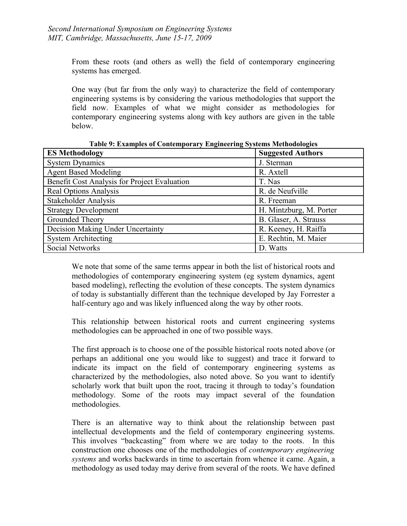From these roots (and others as well) the field of contemporary engineering systems has emerged.

One way (but far from the only way) to characterize the field of contemporary engineering systems is by considering the various methodologies that support the field now. Examples of what we might consider as methodologies for contemporary engineering systems along with key authors are given in the table below.

| $\frac{1}{2}$ $\frac{1}{2}$ $\frac{1}{2}$ $\frac{1}{2}$ $\frac{1}{2}$ $\frac{1}{2}$ $\frac{1}{2}$ $\frac{1}{2}$ $\frac{1}{2}$ $\frac{1}{2}$ $\frac{1}{2}$ $\frac{1}{2}$ $\frac{1}{2}$ $\frac{1}{2}$ $\frac{1}{2}$ $\frac{1}{2}$ $\frac{1}{2}$ $\frac{1}{2}$ $\frac{1}{2}$ $\frac{1}{2}$ $\frac{1}{2}$ $\frac{1}{2}$ |                          |  |  |
|---------------------------------------------------------------------------------------------------------------------------------------------------------------------------------------------------------------------------------------------------------------------------------------------------------------------|--------------------------|--|--|
| <b>ES Methodology</b>                                                                                                                                                                                                                                                                                               | <b>Suggested Authors</b> |  |  |
| <b>System Dynamics</b>                                                                                                                                                                                                                                                                                              | J. Sterman               |  |  |
| <b>Agent Based Modeling</b>                                                                                                                                                                                                                                                                                         | R. Axtell                |  |  |
| Benefit Cost Analysis for Project Evaluation                                                                                                                                                                                                                                                                        | T. Nas                   |  |  |
| <b>Real Options Analysis</b>                                                                                                                                                                                                                                                                                        | R. de Neufville          |  |  |
| <b>Stakeholder Analysis</b>                                                                                                                                                                                                                                                                                         | R. Freeman               |  |  |
| <b>Strategy Development</b>                                                                                                                                                                                                                                                                                         | H. Mintzburg, M. Porter  |  |  |
| Grounded Theory                                                                                                                                                                                                                                                                                                     | B. Glaser, A. Strauss    |  |  |
| Decision Making Under Uncertainty                                                                                                                                                                                                                                                                                   | R. Keeney, H. Raiffa     |  |  |
| <b>System Architecting</b>                                                                                                                                                                                                                                                                                          | E. Rechtin, M. Maier     |  |  |
| <b>Social Networks</b>                                                                                                                                                                                                                                                                                              | D. Watts                 |  |  |

**Table 9: Examples of Contemporary Engineering Systems Methodologies**

We note that some of the same terms appear in both the list of historical roots and methodologies of contemporary engineering system (eg system dynamics, agent based modeling), reflecting the evolution of these concepts. The system dynamics of today is substantially different than the technique developed by Jay Forrester a half-century ago and was likely influenced along the way by other roots.

This relationship between historical roots and current engineering systems methodologies can be approached in one of two possible ways.

The first approach is to choose one of the possible historical roots noted above (or perhaps an additional one you would like to suggest) and trace it forward to indicate its impact on the field of contemporary engineering systems as characterized by the methodologies, also noted above. So you want to identify scholarly work that built upon the root, tracing it through to today's foundation methodology. Some of the roots may impact several of the foundation methodologies.

There is an alternative way to think about the relationship between past intellectual developments and the field of contemporary engineering systems. This involves "backcasting" from where we are today to the roots. In this construction one chooses one of the methodologies of *contemporary engineering systems* and works backwards in time to ascertain from whence it came. Again, a methodology as used today may derive from several of the roots. We have defined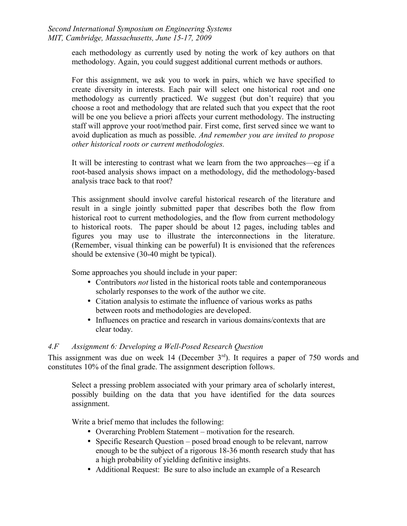each methodology as currently used by noting the work of key authors on that methodology. Again, you could suggest additional current methods or authors.

For this assignment, we ask you to work in pairs, which we have specified to create diversity in interests. Each pair will select one historical root and one methodology as currently practiced. We suggest (but don't require) that you choose a root and methodology that are related such that you expect that the root will be one you believe a priori affects your current methodology. The instructing staff will approve your root/method pair. First come, first served since we want to avoid duplication as much as possible. *And remember you are invited to propose other historical roots or current methodologies.*

It will be interesting to contrast what we learn from the two approaches—eg if a root-based analysis shows impact on a methodology, did the methodology-based analysis trace back to that root?

This assignment should involve careful historical research of the literature and result in a single jointly submitted paper that describes both the flow from historical root to current methodologies, and the flow from current methodology to historical roots. The paper should be about 12 pages, including tables and figures you may use to illustrate the interconnections in the literature. (Remember, visual thinking can be powerful) It is envisioned that the references should be extensive (30-40 might be typical).

Some approaches you should include in your paper:

- Contributors *not* listed in the historical roots table and contemporaneous scholarly responses to the work of the author we cite.
- Citation analysis to estimate the influence of various works as paths between roots and methodologies are developed.
- Influences on practice and research in various domains/contexts that are clear today.

## *4.F Assignment 6: Developing a Well-Posed Research Question*

This assignment was due on week 14 (December  $3<sup>rd</sup>$ ). It requires a paper of 750 words and constitutes 10% of the final grade. The assignment description follows.

Select a pressing problem associated with your primary area of scholarly interest, possibly building on the data that you have identified for the data sources assignment.

Write a brief memo that includes the following:

- Overarching Problem Statement motivation for the research.
- Specific Research Question posed broad enough to be relevant, narrow enough to be the subject of a rigorous 18-36 month research study that has a high probability of yielding definitive insights.
- Additional Request: Be sure to also include an example of a Research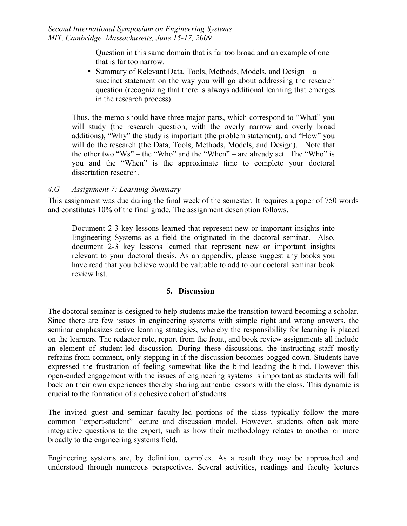Question in this same domain that is far too broad and an example of one that is far too narrow.

• Summary of Relevant Data, Tools, Methods, Models, and Design – a succinct statement on the way you will go about addressing the research question (recognizing that there is always additional learning that emerges in the research process).

Thus, the memo should have three major parts, which correspond to "What" you will study (the research question, with the overly narrow and overly broad additions), "Why" the study is important (the problem statement), and "How" you will do the research (the Data, Tools, Methods, Models, and Design). Note that the other two "Ws" – the "Who" and the "When" – are already set. The "Who" is you and the "When" is the approximate time to complete your doctoral dissertation research.

### *4.G Assignment 7: Learning Summary*

This assignment was due during the final week of the semester. It requires a paper of 750 words and constitutes 10% of the final grade. The assignment description follows.

Document 2-3 key lessons learned that represent new or important insights into Engineering Systems as a field the originated in the doctoral seminar. Also, document 2-3 key lessons learned that represent new or important insights relevant to your doctoral thesis. As an appendix, please suggest any books you have read that you believe would be valuable to add to our doctoral seminar book review list.

#### **5. Discussion**

The doctoral seminar is designed to help students make the transition toward becoming a scholar. Since there are few issues in engineering systems with simple right and wrong answers, the seminar emphasizes active learning strategies, whereby the responsibility for learning is placed on the learners. The redactor role, report from the front, and book review assignments all include an element of student-led discussion. During these discussions, the instructing staff mostly refrains from comment, only stepping in if the discussion becomes bogged down. Students have expressed the frustration of feeling somewhat like the blind leading the blind. However this open-ended engagement with the issues of engineering systems is important as students will fall back on their own experiences thereby sharing authentic lessons with the class. This dynamic is crucial to the formation of a cohesive cohort of students.

The invited guest and seminar faculty-led portions of the class typically follow the more common "expert-student" lecture and discussion model. However, students often ask more integrative questions to the expert, such as how their methodology relates to another or more broadly to the engineering systems field.

Engineering systems are, by definition, complex. As a result they may be approached and understood through numerous perspectives. Several activities, readings and faculty lectures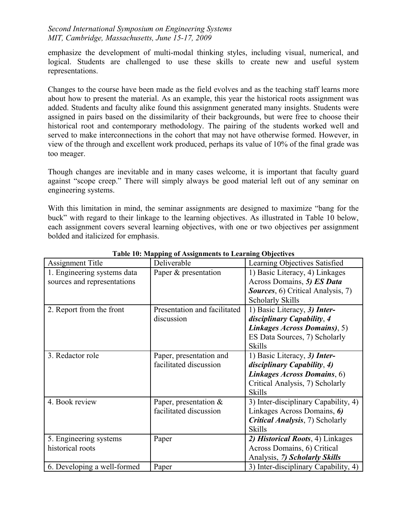emphasize the development of multi-modal thinking styles, including visual, numerical, and logical. Students are challenged to use these skills to create new and useful system representations.

Changes to the course have been made as the field evolves and as the teaching staff learns more about how to present the material. As an example, this year the historical roots assignment was added. Students and faculty alike found this assignment generated many insights. Students were assigned in pairs based on the dissimilarity of their backgrounds, but were free to choose their historical root and contemporary methodology. The pairing of the students worked well and served to make interconnections in the cohort that may not have otherwise formed. However, in view of the through and excellent work produced, perhaps its value of 10% of the final grade was too meager.

Though changes are inevitable and in many cases welcome, it is important that faculty guard against "scope creep." There will simply always be good material left out of any seminar on engineering systems.

With this limitation in mind, the seminar assignments are designed to maximize "bang for the buck" with regard to their linkage to the learning objectives. As illustrated in Table 10 below, each assignment covers several learning objectives, with one or two objectives per assignment bolded and italicized for emphasis.

| <b>Assignment Title</b>     | Deliverable                  | Learning Objectives Satisfied             |
|-----------------------------|------------------------------|-------------------------------------------|
| 1. Engineering systems data | Paper & presentation         | 1) Basic Literacy, 4) Linkages            |
| sources and representations |                              | Across Domains, 5) ES Data                |
|                             |                              | <b>Sources</b> , 6) Critical Analysis, 7) |
|                             |                              | <b>Scholarly Skills</b>                   |
| 2. Report from the front    | Presentation and facilitated | 1) Basic Literacy, 3) Inter-              |
|                             | discussion                   | disciplinary Capability, 4                |
|                             |                              | Linkages Across Domains), 5)              |
|                             |                              | ES Data Sources, 7) Scholarly             |
|                             |                              | <b>Skills</b>                             |
| 3. Redactor role            | Paper, presentation and      | 1) Basic Literacy, 3) Inter-              |
|                             | facilitated discussion       | disciplinary Capability, 4)               |
|                             |                              | Linkages Across Domains, 6)               |
|                             |                              | Critical Analysis, 7) Scholarly           |
|                             |                              | <b>Skills</b>                             |
| 4. Book review              | Paper, presentation $\&$     | 3) Inter-disciplinary Capability, 4)      |
|                             | facilitated discussion       | Linkages Across Domains, 6)               |
|                             |                              | <b>Critical Analysis, 7) Scholarly</b>    |
|                             |                              | <b>Skills</b>                             |
| 5. Engineering systems      | Paper                        | 2) Historical Roots, 4) Linkages          |
| historical roots            |                              | Across Domains, 6) Critical               |
|                             |                              | Analysis, 7) Scholarly Skills             |
| 6. Developing a well-formed | Paper                        | 3) Inter-disciplinary Capability, 4)      |

**Table 10: Mapping of Assignments to Learning Objectives**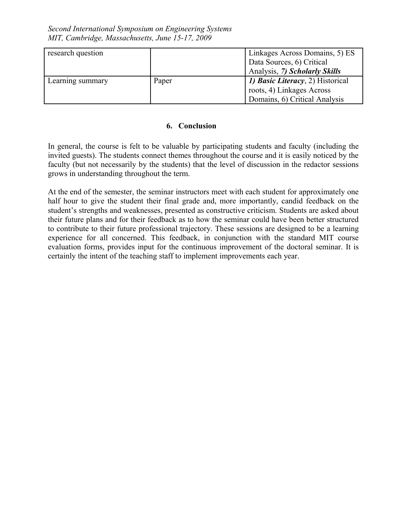| research question |       | Linkages Across Domains, 5) ES           |
|-------------------|-------|------------------------------------------|
|                   |       | Data Sources, 6) Critical                |
|                   |       | Analysis, 7) Scholarly Skills            |
| Learning summary  | Paper | <i>1) Basic Literacy</i> , 2) Historical |
|                   |       | roots, 4) Linkages Across                |
|                   |       | Domains, 6) Critical Analysis            |

### **6. Conclusion**

In general, the course is felt to be valuable by participating students and faculty (including the invited guests). The students connect themes throughout the course and it is easily noticed by the faculty (but not necessarily by the students) that the level of discussion in the redactor sessions grows in understanding throughout the term.

At the end of the semester, the seminar instructors meet with each student for approximately one half hour to give the student their final grade and, more importantly, candid feedback on the student's strengths and weaknesses, presented as constructive criticism. Students are asked about their future plans and for their feedback as to how the seminar could have been better structured to contribute to their future professional trajectory. These sessions are designed to be a learning experience for all concerned. This feedback, in conjunction with the standard MIT course evaluation forms, provides input for the continuous improvement of the doctoral seminar. It is certainly the intent of the teaching staff to implement improvements each year.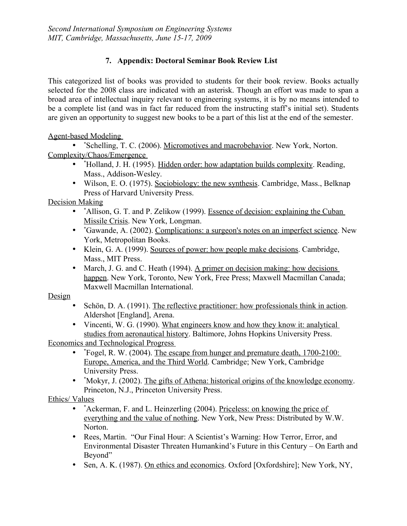# **7. Appendix: Doctoral Seminar Book Review List**

This categorized list of books was provided to students for their book review. Books actually selected for the 2008 class are indicated with an asterisk. Though an effort was made to span a broad area of intellectual inquiry relevant to engineering systems, it is by no means intended to be a complete list (and was in fact far reduced from the instructing staff's initial set). Students are given an opportunity to suggest new books to be a part of this list at the end of the semester.

Agent-based Modeling

• \*Schelling, T. C. (2006). Micromotives and macrobehavior. New York, Norton. Complexity/Chaos/Emergence

- \*Holland, J. H. (1995). Hidden order: how adaptation builds complexity. Reading, Mass., Addison-Wesley.
- Wilson, E. O. (1975). Sociobiology: the new synthesis. Cambridge, Mass., Belknap Press of Harvard University Press.

Decision Making

- \*Allison, G. T. and P. Zelikow (1999). Essence of decision: explaining the Cuban Missile Crisis. New York, Longman.
- \*Gawande, A. (2002). Complications: a surgeon's notes on an imperfect science. New York, Metropolitan Books.
- Klein, G. A. (1999). Sources of power: how people make decisions. Cambridge, Mass., MIT Press.
- March, J. G. and C. Heath (1994). A primer on decision making: how decisions happen. New York, Toronto, New York, Free Press; Maxwell Macmillan Canada; Maxwell Macmillan International.

Design

- Schön, D. A. (1991). The reflective practitioner: how professionals think in action. Aldershot [England], Arena.
- Vincenti, W. G. (1990). What engineers know and how they know it: analytical studies from aeronautical history. Baltimore, Johns Hopkins University Press.

Economics and Technological Progress

- \* Fogel, R. W. (2004). The escape from hunger and premature death, 1700-2100: Europe, America, and the Third World. Cambridge; New York, Cambridge University Press.
- \*Mokyr, J. (2002). The gifts of Athena: historical origins of the knowledge economy. Princeton, N.J., Princeton University Press.

# Ethics/ Values

- \*Ackerman, F. and L. Heinzerling (2004). Priceless: on knowing the price of everything and the value of nothing. New York, New Press: Distributed by W.W. Norton.
- Rees, Martin. "Our Final Hour: A Scientist's Warning: How Terror, Error, and Environmental Disaster Threaten Humankind's Future in this Century – On Earth and Beyond"
- Sen, A. K. (1987). On ethics and economics. Oxford [Oxfordshire]; New York, NY,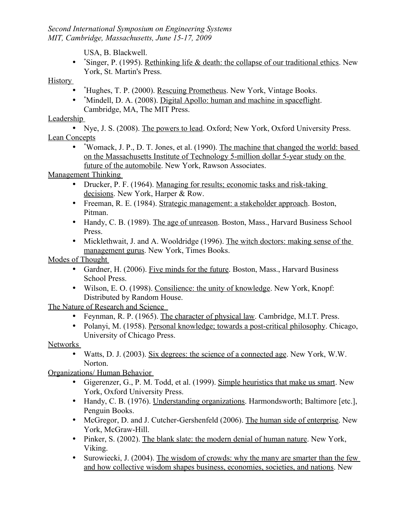USA, B. Blackwell.

• \* Singer, P. (1995). Rethinking life & death: the collapse of our traditional ethics. New York, St. Martin's Press.

# **History**

- \* Hughes, T. P. (2000). Rescuing Prometheus. New York, Vintage Books.
- \* Mindell, D. A. (2008). Digital Apollo: human and machine in spaceflight. Cambridge, MA, The MIT Press.

# Leadership

• Nye, J. S. (2008). The powers to lead. Oxford; New York, Oxford University Press. Lean Concepts

• \*Womack, J. P., D. T. Jones, et al. (1990). The machine that changed the world: based on the Massachusetts Institute of Technology 5-million dollar 5-year study on the future of the automobile. New York, Rawson Associates.

Management Thinking

- Drucker, P. F. (1964). Managing for results; economic tasks and risk-taking decisions. New York, Harper & Row.
- Freeman, R. E. (1984). Strategic management: a stakeholder approach. Boston, Pitman.
- Handy, C. B. (1989). The age of unreason. Boston, Mass., Harvard Business School Press.
- Micklethwait, J. and A. Wooldridge (1996). The witch doctors: making sense of the management gurus. New York, Times Books.

Modes of Thought

- Gardner, H. (2006). Five minds for the future. Boston, Mass., Harvard Business School Press.
- Wilson, E. O. (1998). Consilience: the unity of knowledge. New York, Knopf: Distributed by Random House.

The Nature of Research and Science

- Feynman, R. P. (1965). The character of physical law. Cambridge, M.I.T. Press.
- Polanyi, M. (1958). Personal knowledge; towards a post-critical philosophy. Chicago, University of Chicago Press.

# Networks

• Watts, D. J. (2003). Six degrees: the science of a connected age. New York, W.W. Norton.

Organizations/ Human Behavior

- Gigerenzer, G., P. M. Todd, et al. (1999). Simple heuristics that make us smart. New York, Oxford University Press.
- Handy, C. B. (1976). Understanding organizations. Harmondsworth; Baltimore [etc.], Penguin Books.
- McGregor, D. and J. Cutcher-Gershenfeld (2006). The human side of enterprise. New York, McGraw-Hill.
- Pinker, S. (2002). The blank slate: the modern denial of human nature. New York, Viking.
- Surowiecki, J. (2004). The wisdom of crowds: why the many are smarter than the few and how collective wisdom shapes business, economies, societies, and nations. New